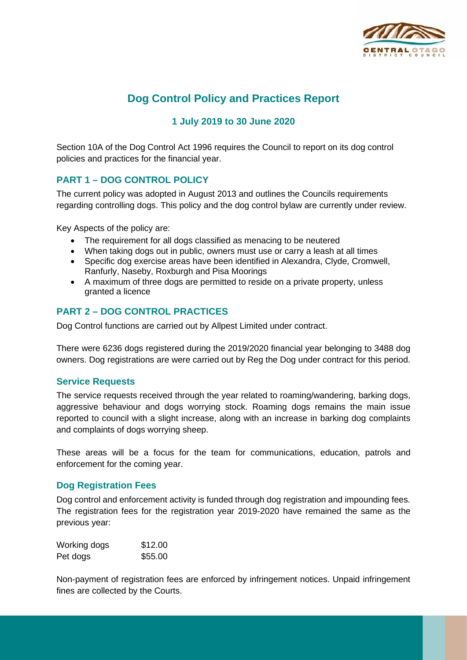

# **Dog Control Policy and Practices Report**

# **1 July 2019 to 30 June 2020**

Section 10A of the Dog Control Act 1996 requires the Council to report on its dog control policies and practices for the financial year.

# **PART 1 – DOG CONTROL POLICY**

The current policy was adopted in August 2013 and outlines the Councils requirements regarding controlling dogs. This policy and the dog control bylaw are currently under review.

Key Aspects of the policy are:

- The requirement for all dogs classified as menacing to be neutered
- When taking dogs out in public, owners must use or carry a leash at all times
- Specific dog exercise areas have been identified in Alexandra, Clyde, Cromwell, Ranfurly, Naseby, Roxburgh and Pisa Moorings
- A maximum of three dogs are permitted to reside on a private property, unless granted a licence

## **PART 2 – DOG CONTROL PRACTICES**

Dog Control functions are carried out by Allpest Limited under contract.

There were 6236 dogs registered during the 2019/2020 financial year belonging to 3488 dog owners. Dog registrations are were carried out by Reg the Dog under contract for this period.

#### **Service Requests**

The service requests received through the year related to roaming/wandering, barking dogs, aggressive behaviour and dogs worrying stock. Roaming dogs remains the main issue reported to council with a slight increase, along with an increase in barking dog complaints and complaints of dogs worrying sheep.

These areas will be a focus for the team for communications, education, patrols and enforcement for the coming year.

#### **Dog Registration Fees**

Dog control and enforcement activity is funded through dog registration and impounding fees. The registration fees for the registration year 2019-2020 have remained the same as the previous year:

| Working dogs | \$12.00 |
|--------------|---------|
| Pet dogs     | \$55.00 |

Non-payment of registration fees are enforced by infringement notices. Unpaid infringement fines are collected by the Courts.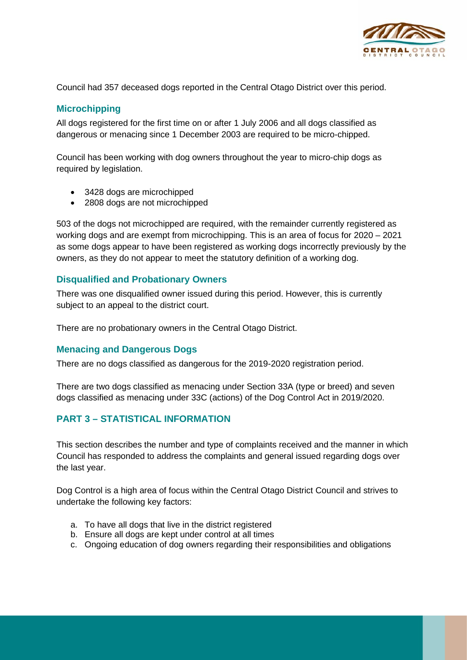

Council had 357 deceased dogs reported in the Central Otago District over this period.

#### **Microchipping**

All dogs registered for the first time on or after 1 July 2006 and all dogs classified as dangerous or menacing since 1 December 2003 are required to be micro-chipped.

Council has been working with dog owners throughout the year to micro-chip dogs as required by legislation.

- 3428 dogs are microchipped
- 2808 dogs are not microchipped

503 of the dogs not microchipped are required, with the remainder currently registered as working dogs and are exempt from microchipping. This is an area of focus for 2020 – 2021 as some dogs appear to have been registered as working dogs incorrectly previously by the owners, as they do not appear to meet the statutory definition of a working dog.

#### **Disqualified and Probationary Owners**

There was one disqualified owner issued during this period. However, this is currently subject to an appeal to the district court.

There are no probationary owners in the Central Otago District.

#### **Menacing and Dangerous Dogs**

There are no dogs classified as dangerous for the 2019-2020 registration period.

There are two dogs classified as menacing under Section 33A (type or breed) and seven dogs classified as menacing under 33C (actions) of the Dog Control Act in 2019/2020.

# **PART 3 – STATISTICAL INFORMATION**

This section describes the number and type of complaints received and the manner in which Council has responded to address the complaints and general issued regarding dogs over the last year.

Dog Control is a high area of focus within the Central Otago District Council and strives to undertake the following key factors:

- a. To have all dogs that live in the district registered
- b. Ensure all dogs are kept under control at all times
- c. Ongoing education of dog owners regarding their responsibilities and obligations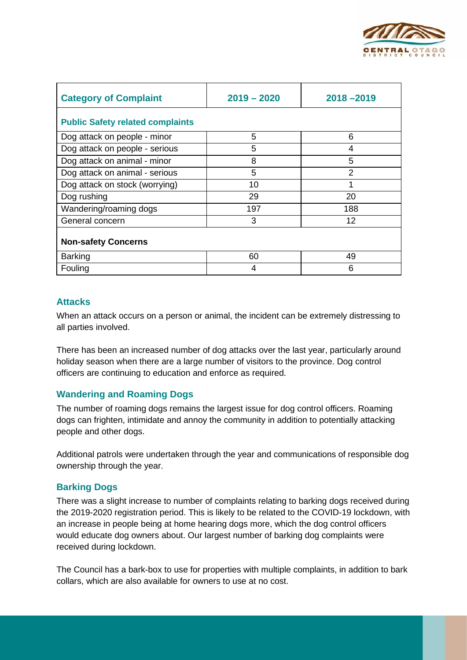

| <b>Category of Complaint</b>            | $2019 - 2020$ | $2018 - 2019$  |  |  |
|-----------------------------------------|---------------|----------------|--|--|
| <b>Public Safety related complaints</b> |               |                |  |  |
| Dog attack on people - minor            | 5             | 6              |  |  |
| Dog attack on people - serious          | 5             | 4              |  |  |
| Dog attack on animal - minor            | 8             | 5              |  |  |
| Dog attack on animal - serious          | 5             | $\overline{2}$ |  |  |
| Dog attack on stock (worrying)          | 10            |                |  |  |
| Dog rushing                             | 29            | 20             |  |  |
| Wandering/roaming dogs                  | 197           | 188            |  |  |
| General concern                         | 3             | 12             |  |  |
| <b>Non-safety Concerns</b>              |               |                |  |  |
| <b>Barking</b>                          | 60            | 49             |  |  |
| Fouling                                 | 4             | 6              |  |  |

#### **Attacks**

When an attack occurs on a person or animal, the incident can be extremely distressing to all parties involved.

There has been an increased number of dog attacks over the last year, particularly around holiday season when there are a large number of visitors to the province. Dog control officers are continuing to education and enforce as required.

#### **Wandering and Roaming Dogs**

The number of roaming dogs remains the largest issue for dog control officers. Roaming dogs can frighten, intimidate and annoy the community in addition to potentially attacking people and other dogs.

Additional patrols were undertaken through the year and communications of responsible dog ownership through the year.

#### **Barking Dogs**

There was a slight increase to number of complaints relating to barking dogs received during the 2019-2020 registration period. This is likely to be related to the COVID-19 lockdown, with an increase in people being at home hearing dogs more, which the dog control officers would educate dog owners about. Our largest number of barking dog complaints were received during lockdown.

The Council has a bark-box to use for properties with multiple complaints, in addition to bark collars, which are also available for owners to use at no cost.